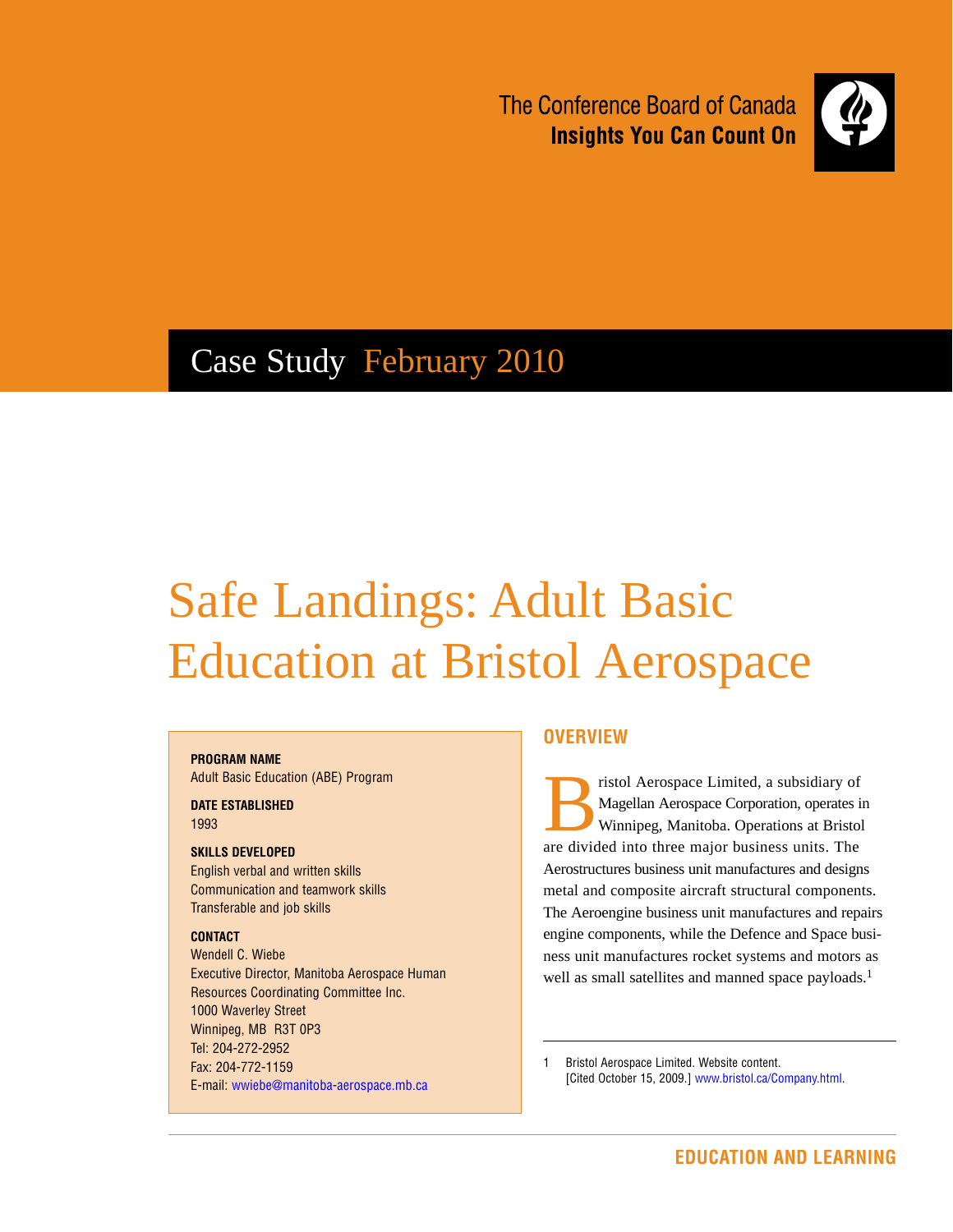The Conference Board of Canada **Insights You Can Count On** 



## Case Study February 2010

# Safe Landings: Adult Basic Education at Bristol Aerospace

### **Program Name**

Adult Basic Education (ABE) Program

**DATE ESTABLISHED** 1993

#### **Skills Developed**

English verbal and written skills Communication and teamwork skills Transferable and job skills

#### **Contact**

Wendell C. Wiebe Executive Director, Manitoba Aerospace Human Resources Coordinating Committee Inc. 1000 Waverley Street Winnipeg, MB R3T 0P3 Tel: 204-272-2952 Fax: 204-772-1159 E-mail: wwiebe@manitoba-aerospace.mb.ca

#### **Overview**

ristol Aerospace Limited, a subsidiary of Magellan Aerospace Corporation, operates in Winnipeg, Manitoba. Operations at Bristol are divided into three major business units. The Aerostructures business unit manufactures and designs metal and composite aircraft structural components. The Aeroengine business unit manufactures and repairs engine components, while the Defence and Space business unit manufactures rocket systems and motors as well as small satellites and manned space payloads.<sup>1</sup>

1 Bristol Aerospace Limited. Website content. [Cited October 15, 2009.] www.bristol.ca/Company.html.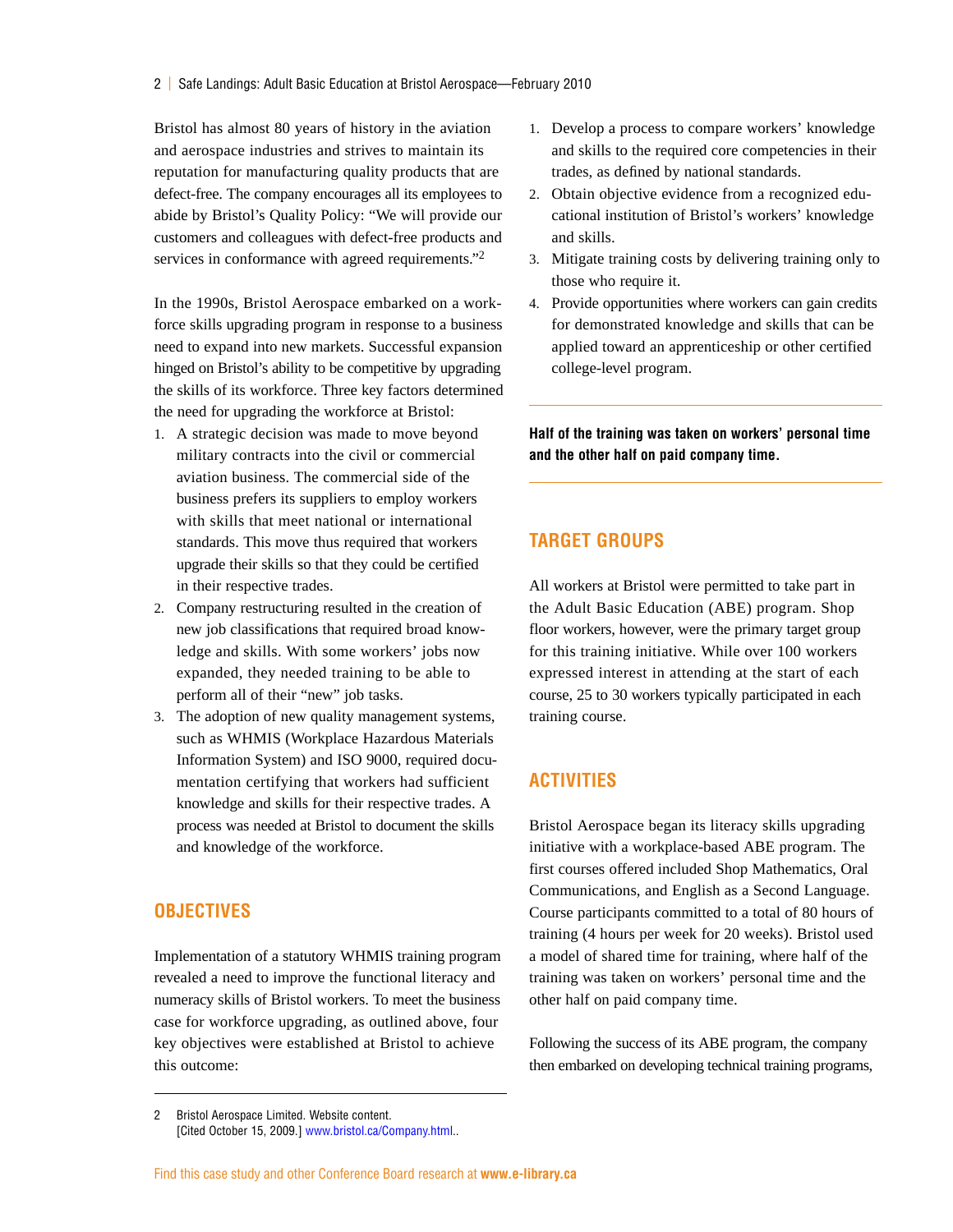Bristol has almost 80 years of history in the aviation and aerospace industries and strives to maintain its reputation for manufacturing quality products that are defect-free. The company encourages all its employees to abide by Bristol's Quality Policy: "We will provide our customers and colleagues with defect-free products and services in conformance with agreed requirements."<sup>2</sup>

In the 1990s, Bristol Aerospace embarked on a workforce skills upgrading program in response to a business need to expand into new markets. Successful expansion hinged on Bristol's ability to be competitive by upgrading the skills of its workforce. Three key factors determined the need for upgrading the workforce at Bristol:

- 1. A strategic decision was made to move beyond military contracts into the civil or commercial aviation business. The commercial side of the business prefers its suppliers to employ workers with skills that meet national or international standards. This move thus required that workers upgrade their skills so that they could be certified in their respective trades.
- 2. Company restructuring resulted in the creation of new job classifications that required broad knowledge and skills. With some workers' jobs now expanded, they needed training to be able to perform all of their "new" job tasks.
- 3. The adoption of new quality management systems, such as WHMIS (Workplace Hazardous Materials Information System) and ISO 9000, required documentation certifying that workers had sufficient knowledge and skills for their respective trades. A process was needed at Bristol to document the skills and knowledge of the workforce.

#### **Objectives**

Implementation of a statutory WHMIS training program revealed a need to improve the functional literacy and numeracy skills of Bristol workers. To meet the business case for workforce upgrading, as outlined above, four key objectives were established at Bristol to achieve this outcome:

- 1. Develop a process to compare workers' knowledge and skills to the required core competencies in their trades, as defined by national standards.
- 2. Obtain objective evidence from a recognized educational institution of Bristol's workers' knowledge and skills.
- 3. Mitigate training costs by delivering training only to those who require it.
- 4. Provide opportunities where workers can gain credits for demonstrated knowledge and skills that can be applied toward an apprenticeship or other certified college-level program.

**Half of the training was taken on workers' personal time and the other half on paid company time.**

#### **Target Groups**

All workers at Bristol were permitted to take part in the Adult Basic Education (ABE) program. Shop floor workers, however, were the primary target group for this training initiative. While over 100 workers expressed interest in attending at the start of each course, 25 to 30 workers typically participated in each training course.

#### **Activities**

Bristol Aerospace began its literacy skills upgrading initiative with a workplace-based ABE program. The first courses offered included Shop Mathematics, Oral Communications, and English as a Second Language. Course participants committed to a total of 80 hours of training (4 hours per week for 20 weeks). Bristol used a model of shared time for training, where half of the training was taken on workers' personal time and the other half on paid company time.

Following the success of its ABE program, the company then embarked on developing technical training programs,

<sup>2</sup> Bristol Aerospace Limited. Website content. [Cited October 15, 2009.] www.bristol.ca/Company.html..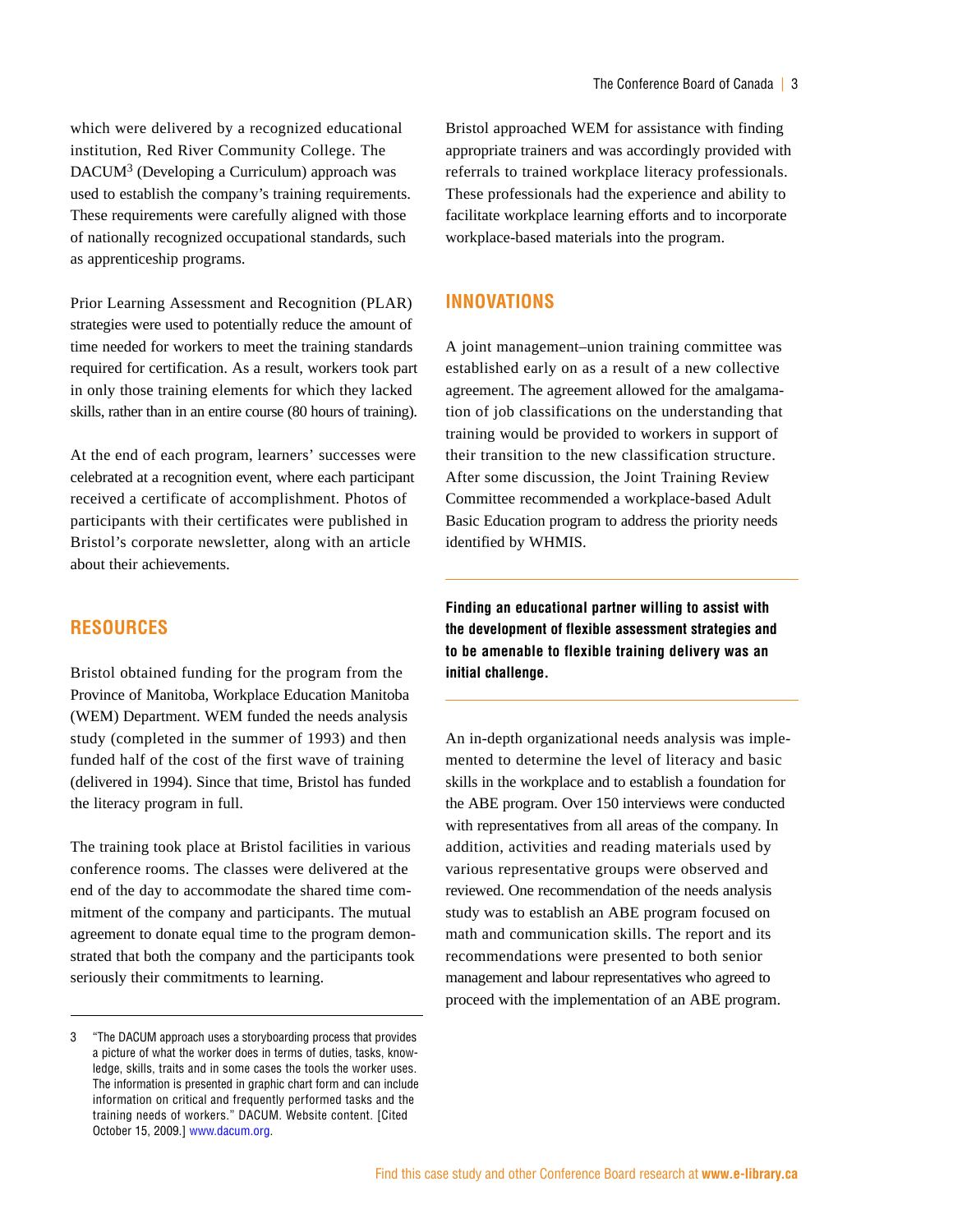which were delivered by a recognized educational institution, Red River Community College. The DACUM<sup>3</sup> (Developing a Curriculum) approach was used to establish the company's training requirements. These requirements were carefully aligned with those of nationally recognized occupational standards, such as apprenticeship programs.

Prior Learning Assessment and Recognition (PLAR) strategies were used to potentially reduce the amount of time needed for workers to meet the training standards required for certification. As a result, workers took part in only those training elements for which they lacked skills, rather than in an entire course (80 hours of training).

At the end of each program, learners' successes were celebrated at a recognition event, where each participant received a certificate of accomplishment. Photos of participants with their certificates were published in Bristol's corporate newsletter, along with an article about their achievements.

#### **Resources**

Bristol obtained funding for the program from the Province of Manitoba, Workplace Education Manitoba (WEM) Department. WEM funded the needs analysis study (completed in the summer of 1993) and then funded half of the cost of the first wave of training (delivered in 1994). Since that time, Bristol has funded the literacy program in full.

The training took place at Bristol facilities in various conference rooms. The classes were delivered at the end of the day to accommodate the shared time commitment of the company and participants. The mutual agreement to donate equal time to the program demonstrated that both the company and the participants took seriously their commitments to learning.

Bristol approached WEM for assistance with finding appropriate trainers and was accordingly provided with referrals to trained workplace literacy professionals. These professionals had the experience and ability to facilitate workplace learning efforts and to incorporate workplace-based materials into the program.

#### **Innovations**

A joint management–union training committee was established early on as a result of a new collective agreement. The agreement allowed for the amalgamation of job classifications on the understanding that training would be provided to workers in support of their transition to the new classification structure. After some discussion, the Joint Training Review Committee recommended a workplace-based Adult Basic Education program to address the priority needs identified by WHMIS.

**Finding an educational partner willing to assist with the development of flexible assessment strategies and to be amenable to flexible training delivery was an initial challenge.**

An in-depth organizational needs analysis was implemented to determine the level of literacy and basic skills in the workplace and to establish a foundation for the ABE program. Over 150 interviews were conducted with representatives from all areas of the company. In addition, activities and reading materials used by various representative groups were observed and reviewed. One recommendation of the needs analysis study was to establish an ABE program focused on math and communication skills. The report and its recommendations were presented to both senior management and labour representatives who agreed to proceed with the implementation of an ABE program.

<sup>3 &</sup>quot;The DACUM approach uses a storyboarding process that provides a picture of what the worker does in terms of duties, tasks, knowledge, skills, traits and in some cases the tools the worker uses. The information is presented in graphic chart form and can include information on critical and frequently performed tasks and the training needs of workers." DACUM. Website content. [Cited October 15, 2009.] www.dacum.org.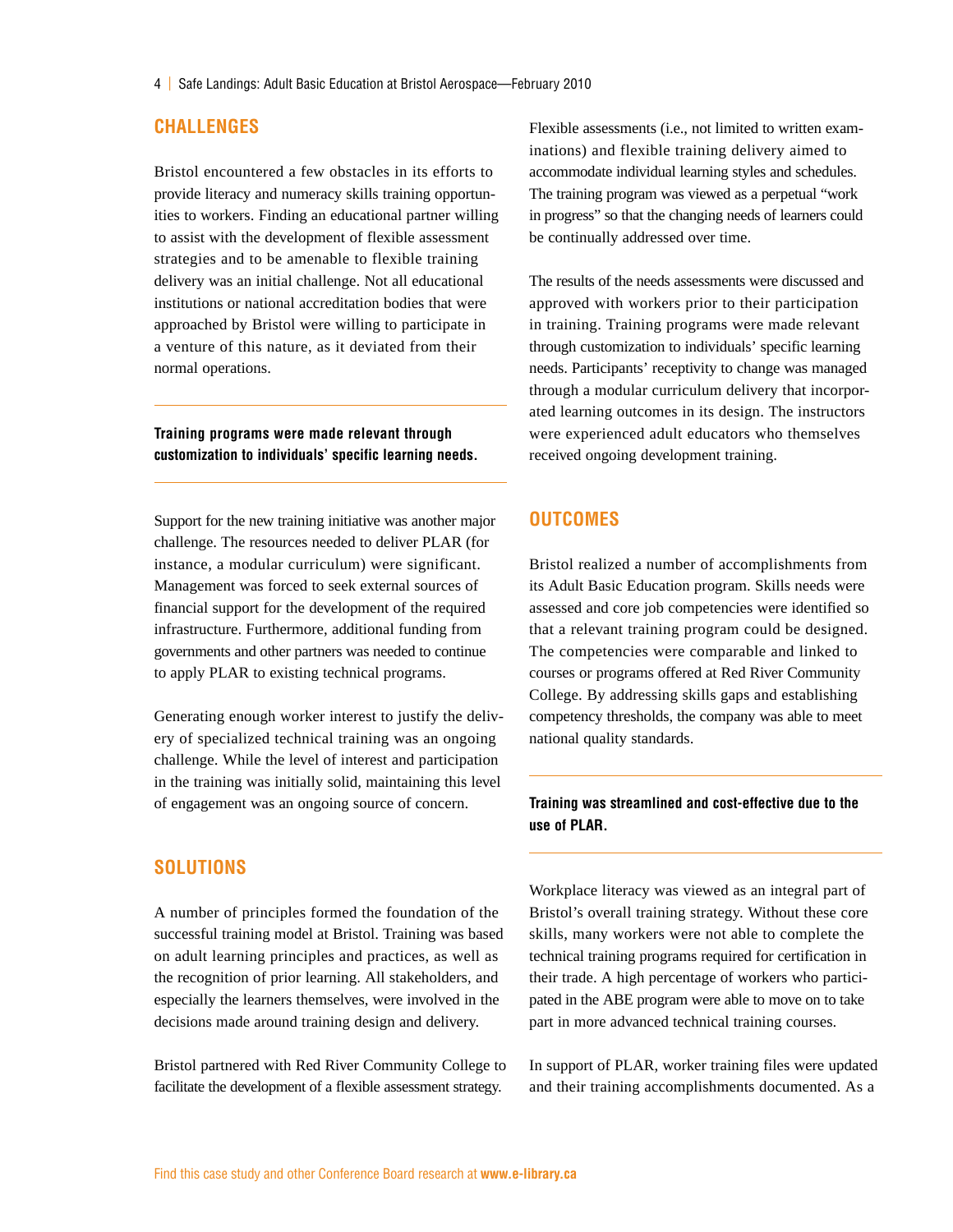#### **Challenges**

Bristol encountered a few obstacles in its efforts to provide literacy and numeracy skills training opportunities to workers. Finding an educational partner willing to assist with the development of flexible assessment strategies and to be amenable to flexible training delivery was an initial challenge. Not all educational institutions or national accreditation bodies that were approached by Bristol were willing to participate in a venture of this nature, as it deviated from their normal operations.

**Training programs were made relevant through customization to individuals' specific learning needs.**

Support for the new training initiative was another major challenge. The resources needed to deliver PLAR (for instance, a modular curriculum) were significant. Management was forced to seek external sources of financial support for the development of the required infrastructure. Furthermore, additional funding from governments and other partners was needed to continue to apply PLAR to existing technical programs.

Generating enough worker interest to justify the delivery of specialized technical training was an ongoing challenge. While the level of interest and participation in the training was initially solid, maintaining this level of engagement was an ongoing source of concern.

#### **Solutions**

A number of principles formed the foundation of the successful training model at Bristol. Training was based on adult learning principles and practices, as well as the recognition of prior learning. All stakeholders, and especially the learners themselves, were involved in the decisions made around training design and delivery.

Bristol partnered with Red River Community College to facilitate the development of a flexible assessment strategy.

Flexible assessments (i.e., not limited to written examinations) and flexible training delivery aimed to accommodate individual learning styles and schedules. The training program was viewed as a perpetual "work in progress" so that the changing needs of learners could be continually addressed over time.

The results of the needs assessments were discussed and approved with workers prior to their participation in training. Training programs were made relevant through customization to individuals' specific learning needs. Participants' receptivity to change was managed through a modular curriculum delivery that incorporated learning outcomes in its design. The instructors were experienced adult educators who themselves received ongoing development training.

#### **Outcomes**

Bristol realized a number of accomplishments from its Adult Basic Education program. Skills needs were assessed and core job competencies were identified so that a relevant training program could be designed. The competencies were comparable and linked to courses or programs offered at Red River Community College. By addressing skills gaps and establishing competency thresholds, the company was able to meet national quality standards.

#### **Training was streamlined and cost-effective due to the use of PLAR.**

Workplace literacy was viewed as an integral part of Bristol's overall training strategy. Without these core skills, many workers were not able to complete the technical training programs required for certification in their trade. A high percentage of workers who participated in the ABE program were able to move on to take part in more advanced technical training courses.

In support of PLAR, worker training files were updated and their training accomplishments documented. As a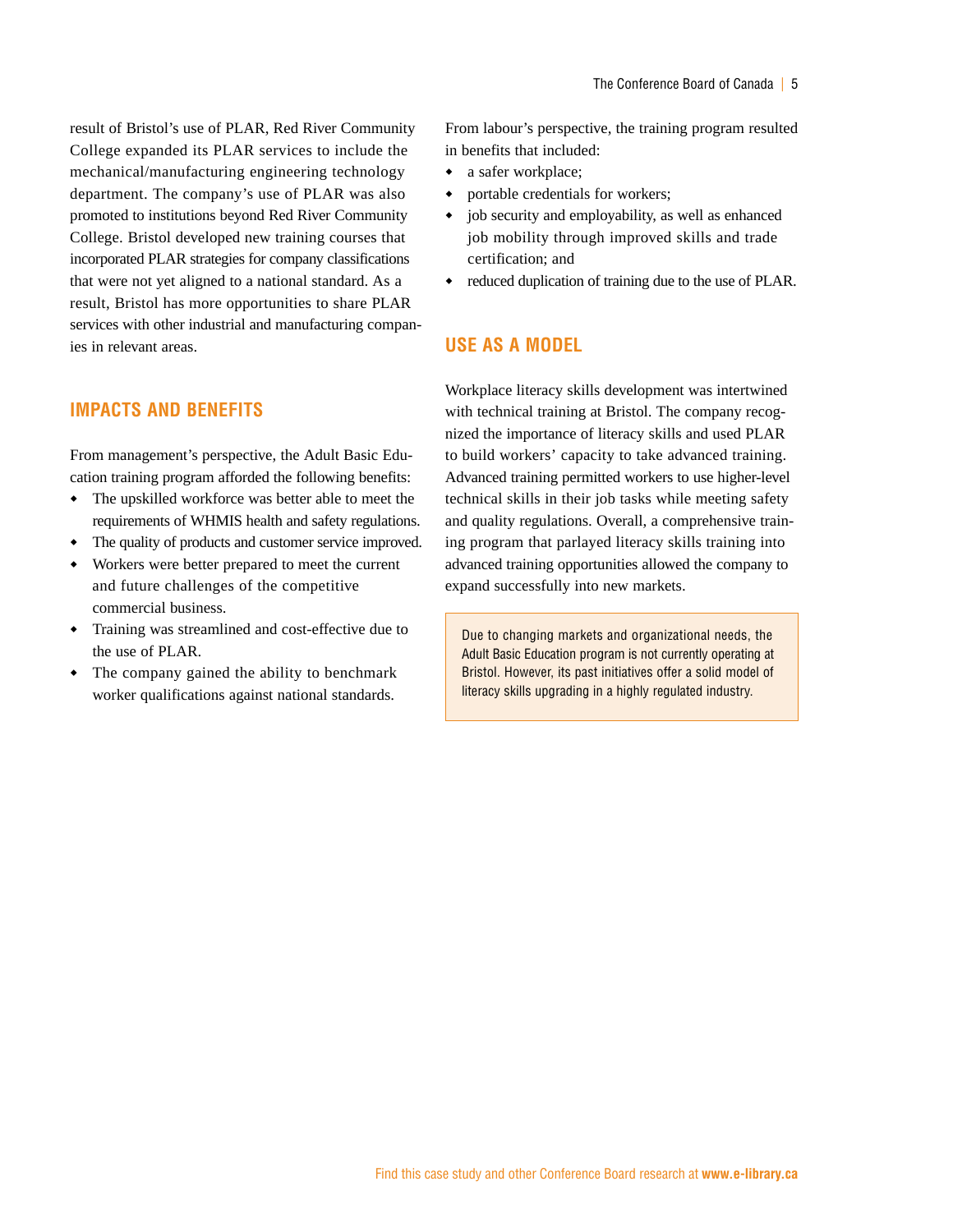result of Bristol's use of PLAR, Red River Community College expanded its PLAR services to include the mechanical/manufacturing engineering technology department. The company's use of PLAR was also promoted to institutions beyond Red River Community College. Bristol developed new training courses that incorporated PLAR strategies for company classifications that were not yet aligned to a national standard. As a result, Bristol has more opportunities to share PLAR services with other industrial and manufacturing companies in relevant areas.

#### **Impacts and Benefits**

From management's perspective, the Adult Basic Education training program afforded the following benefits:

- The upskilled workforce was better able to meet the requirements of WHMIS health and safety regulations.
- The quality of products and customer service improved.
- Workers were better prepared to meet the current and future challenges of the competitive commercial business.
- Training was streamlined and cost-effective due to the use of PLAR.
- The company gained the ability to benchmark worker qualifications against national standards.

From labour's perspective, the training program resulted in benefits that included:

- a safer workplace;
- portable credentials for workers;
- $\bullet$  job security and employability, as well as enhanced job mobility through improved skills and trade certification; and
- reduced duplication of training due to the use of PLAR.

#### **Use as a Model**

Workplace literacy skills development was intertwined with technical training at Bristol. The company recognized the importance of literacy skills and used PLAR to build workers' capacity to take advanced training. Advanced training permitted workers to use higher-level technical skills in their job tasks while meeting safety and quality regulations. Overall, a comprehensive training program that parlayed literacy skills training into advanced training opportunities allowed the company to expand successfully into new markets.

Due to changing markets and organizational needs, the Adult Basic Education program is not currently operating at Bristol. However, its past initiatives offer a solid model of literacy skills upgrading in a highly regulated industry.